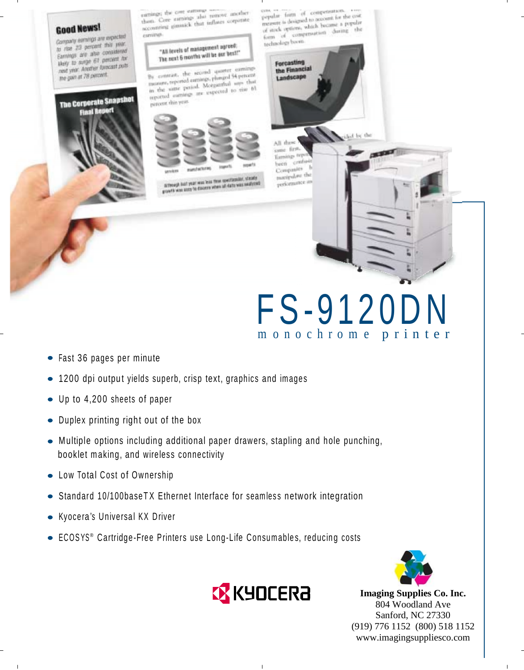### **Good News!**

Company earnings are expected Company earnings are experienced. to rise 23 percent<br>Earnings are also considered Earnings are also concent for their to surge or percent publicant the gain at 78 percent.

The Corporate Snapshot

al Report

earnings; the core earnings and earnings; the core earnings also remove another<br>them. Core earnings also remove corporate accomment themselv that influes codistate exeritua

> the levels of management agreed:<br>"Ized man ad the ers best" "All levels of management up"<br>The next 6 months will be our best!"

By contrast, the second quarter earnings By contrast, the second quarter earnings<br>measure, reported earnings, phanged 54 percent in the same period, established to tim of in the wate period. Morganized to rise 61 percent shin year.



Attrough both year was less thus spectrusiar, steaty<br>growth was astro to downer when an data was nealyzed

popular form of compensation. papalar form of competention.<br>measure is designed to account for the cost measure is designed to account his popular<br>recaster is designed which became a popular etions, which became a perform of technology boom.



a la del

syme firm-Earnings orp been combien  $\mathbb{H}$ Companies trendom que renommer in

All du

# F S -9 1 2 0 D N m o n o c h r o m e p r i n t e r

- $\bullet$  Fast 36 pages per minute
- $\bullet$  1200 dpi output yields superb, crisp text, graphics and images
- Up to 4,200 sheets of paper
- $\bullet$  Duplex printing right out of the box
- $\bullet$  Multiple options including additional paper drawers, stapling and hole punching, booklet making, and wireless connectivity
- Low Total Cost of Ownership
- Standard 10/100baseTX Ethernet Interface for seamless network integration
- Kyocera's Universal KX Driver
- ECOSYS® Cartridge-Free Printers use Long-Life Consumables, reducing costs



**Imaging Supplies Co. Inc.** 804 Woodland Ave Sanford, NC 27330 (919) 776 1152 (800) 518 1152 www.imagingsuppliesco.com

 $\mathsf I$ 



 $\overline{1}$